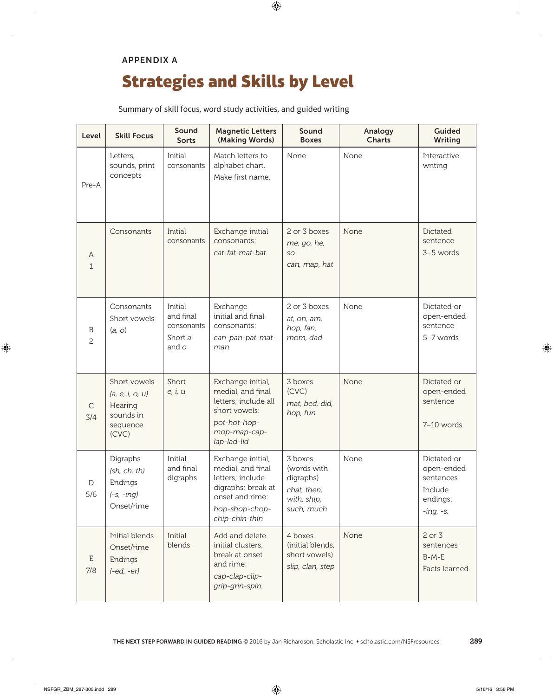## APPENDIX A

## Strategies and Skills by Level

Summary of skill focus, word study activities, and guided writing

| Level              | <b>Skill Focus</b>                                                           | Sound<br><b>Sorts</b>                                  | <b>Magnetic Letters</b><br>(Making Words)                                                                                               | Sound<br><b>Boxes</b>                                                           | Analogy<br><b>Charts</b> | <b>Guided</b><br><b>Writing</b>                                              |
|--------------------|------------------------------------------------------------------------------|--------------------------------------------------------|-----------------------------------------------------------------------------------------------------------------------------------------|---------------------------------------------------------------------------------|--------------------------|------------------------------------------------------------------------------|
| Pre-A              | Letters,<br>sounds, print<br>concepts                                        | Initial<br>consonants                                  | Match letters to<br>alphabet chart.<br>Make first name.                                                                                 | None                                                                            | None                     | Interactive<br>writing                                                       |
| A<br>$\mathbf{1}$  | Consonants                                                                   | Initial<br>consonants                                  | Exchange initial<br>consonants:<br>cat-fat-mat-bat                                                                                      | 2 or 3 boxes<br>me, go, he,<br>SO<br>can, map, hat                              | None                     | Dictated<br>sentence<br>3-5 words                                            |
| B<br>2             | Consonants<br>Short vowels<br>(a, o)                                         | Initial<br>and final<br>consonants<br>Short a<br>and o | Exchange<br>initial and final<br>consonants:<br>can-pan-pat-mat-<br>man                                                                 | 2 or 3 boxes<br>at, on, am,<br>hop, fan,<br>mom, dad                            | None                     | Dictated or<br>open-ended<br>sentence<br>5-7 words                           |
| С<br>3/4           | Short vowels<br>(a, e, i, o, u)<br>Hearing<br>sounds in<br>sequence<br>(CVC) | Short<br>e, i, u                                       | Exchange initial,<br>medial, and final<br>letters; include all<br>short vowels:<br>pot-hot-hop-<br>mop-map-cap-<br>lap-lad-lid          | 3 boxes<br>(CVC)<br>mat, bed, did,<br>hop, fun                                  | None                     | Dictated or<br>open-ended<br>sentence<br>7-10 words                          |
| $\mathbb D$<br>5/6 | Digraphs<br>(sh, ch, th)<br>Endings<br>$(-s, -inq)$<br>Onset/rime            | Initial<br>and final<br>digraphs                       | Exchange initial,<br>medial, and final<br>letters: include<br>digraphs; break at<br>onset and rime:<br>hop-shop-chop-<br>chip-chin-thin | 3 boxes<br>(words with<br>digraphs)<br>chat, then,<br>with, ship,<br>such, much | None                     | Dictated or<br>open-ended<br>sentences<br>Include<br>endings:<br>$-ing, -s,$ |
| Ε<br>7/8           | Initial blends<br>Onset/rime<br>Endings<br>$(-ed, -er)$                      | Initial<br>blends                                      | Add and delete<br>initial clusters;<br>break at onset<br>and rime:<br>cap-clap-clip-<br>grip-grin-spin                                  | 4 boxes<br>(initial blends,<br>short vowels)<br>slip, clan, step                | None                     | 2 or 3<br>sentences<br>$B-M-E$<br>Facts learned                              |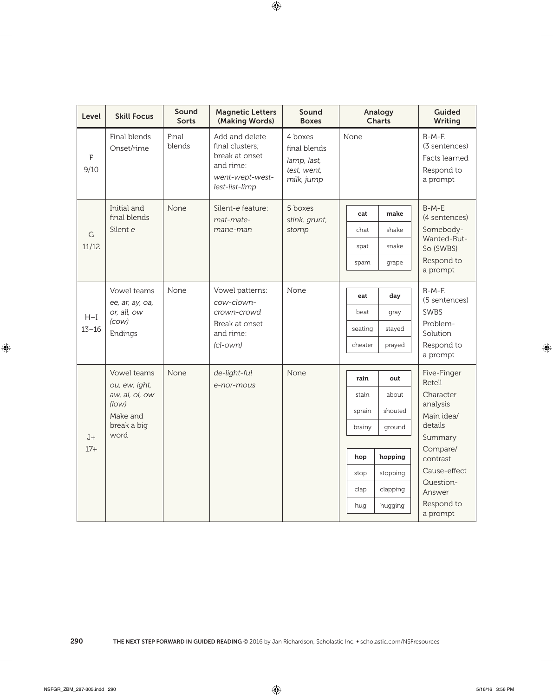| Level     | <b>Skill Focus</b>              | Sound<br><b>Sorts</b> | <b>Magnetic Letters</b><br>(Making Words)                                                             | Sound<br><b>Boxes</b>                                               | Analogy<br><b>Charts</b> |          | <b>Guided</b><br>Writing                                            |
|-----------|---------------------------------|-----------------------|-------------------------------------------------------------------------------------------------------|---------------------------------------------------------------------|--------------------------|----------|---------------------------------------------------------------------|
| F<br>9/10 | Final blends<br>Onset/rime      | Final<br>blends       | Add and delete<br>final clusters;<br>break at onset<br>and rime:<br>went-wept-west-<br>lest-list-limp | 4 boxes<br>final blends<br>lamp, last,<br>test, went,<br>milk, jump | None                     |          | $B-M-E$<br>(3 sentences)<br>Facts learned<br>Respond to<br>a prompt |
|           | Initial and<br>final blends     | None                  | Silent-e feature:<br>mat-mate-                                                                        | 5 boxes<br>stink, grunt,                                            | cat                      | make     | $B-M-E$<br>(4 sentences)                                            |
| G         | Silent e                        |                       | mane-man                                                                                              | stomp                                                               | chat                     | shake    | Somebody-                                                           |
| 11/12     |                                 |                       |                                                                                                       |                                                                     | spat                     | snake    | Wanted-But-<br>So (SWBS)                                            |
|           |                                 |                       |                                                                                                       |                                                                     | spam                     | grape    | Respond to<br>a prompt                                              |
|           | Vowel teams<br>ee, ar, ay, oa,  | None                  | Vowel patterns:<br>cow-clown-                                                                         | None                                                                | eat                      | day      | $B-M-E$<br>(5 sentences)                                            |
| $H-I$     | or, all, ow<br>(cow)<br>Endings |                       | crown-crowd<br>Break at onset<br>and rime:<br>$(cl$ -own $)$                                          |                                                                     | beat                     | gray     | <b>SWBS</b>                                                         |
| $13 - 16$ |                                 |                       |                                                                                                       |                                                                     | seating                  | stayed   | Problem-<br>Solution                                                |
|           |                                 |                       |                                                                                                       |                                                                     | cheater                  | prayed   | Respond to<br>a prompt                                              |
|           | Vowel teams<br>ou, ew, ight,    | None                  | de-light-ful<br>e-nor-mous                                                                            | None                                                                | rain                     | out      | Five-Finger<br>Retell                                               |
|           | aw, ai, oi, ow                  |                       |                                                                                                       |                                                                     | stain                    | about    | Character                                                           |
|           | (low)<br>Make and               |                       |                                                                                                       |                                                                     | sprain                   | shouted  | analysis<br>Main idea/                                              |
|           | break a big                     |                       |                                                                                                       |                                                                     | brainy                   | ground   | details                                                             |
| $J+$      | word                            |                       |                                                                                                       |                                                                     |                          |          | Summary<br>Compare/                                                 |
| $17+$     |                                 |                       |                                                                                                       |                                                                     | hop                      | hopping  | contrast                                                            |
|           |                                 |                       |                                                                                                       |                                                                     | stop                     | stopping | Cause-effect                                                        |
|           |                                 |                       |                                                                                                       |                                                                     | clap                     | clapping | Question-<br>Answer                                                 |
|           |                                 |                       |                                                                                                       |                                                                     | hug                      | hugging  | Respond to<br>a prompt                                              |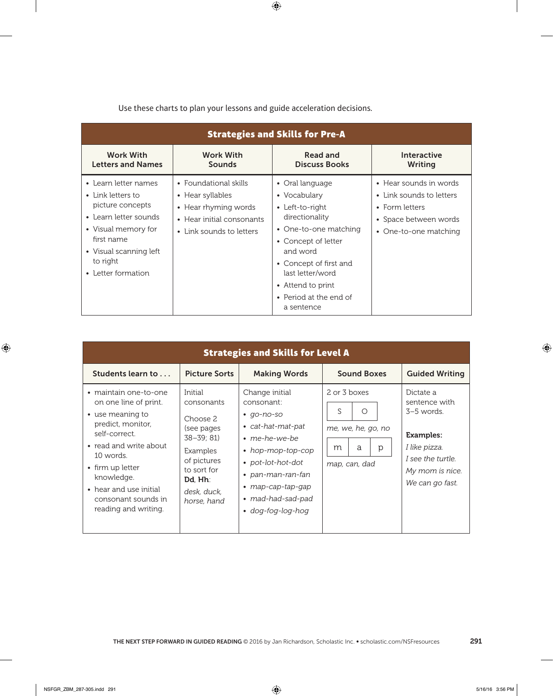| <b>Strategies and Skills for Pre-A</b>                                                                                                                                                  |                                                                                                                            |                                                                                                                                                                                                                                             |                                                                                                                        |  |  |
|-----------------------------------------------------------------------------------------------------------------------------------------------------------------------------------------|----------------------------------------------------------------------------------------------------------------------------|---------------------------------------------------------------------------------------------------------------------------------------------------------------------------------------------------------------------------------------------|------------------------------------------------------------------------------------------------------------------------|--|--|
| <b>Work With</b><br><b>Letters and Names</b>                                                                                                                                            | <b>Work With</b><br>Sounds                                                                                                 | <b>Read and</b><br><b>Discuss Books</b>                                                                                                                                                                                                     | <b>Interactive</b><br>Writing                                                                                          |  |  |
| • Learn letter names<br>• Link letters to<br>picture concepts<br>• Learn letter sounds<br>• Visual memory for<br>first name<br>• Visual scanning left<br>to right<br>• Letter formation | • Foundational skills<br>• Hear syllables<br>• Hear rhyming words<br>• Hear initial consonants<br>• Link sounds to letters | • Oral language<br>• Vocabulary<br>• Left-to-right<br>directionality<br>• One-to-one matching<br>• Concept of letter<br>and word<br>• Concept of first and<br>last letter/word<br>• Attend to print<br>• Period at the end of<br>a sentence | • Hear sounds in words<br>• Link sounds to letters<br>• Form letters<br>• Space between words<br>• One-to-one matching |  |  |

| <b>Strategies and Skills for Level A</b>                                                                                                                                                                                                                   |                                                                                                                                                     |                                                                                                                                                                                                                                                         |                                                                                       |                                                                                                                                            |  |  |
|------------------------------------------------------------------------------------------------------------------------------------------------------------------------------------------------------------------------------------------------------------|-----------------------------------------------------------------------------------------------------------------------------------------------------|---------------------------------------------------------------------------------------------------------------------------------------------------------------------------------------------------------------------------------------------------------|---------------------------------------------------------------------------------------|--------------------------------------------------------------------------------------------------------------------------------------------|--|--|
| Students learn to                                                                                                                                                                                                                                          | <b>Picture Sorts</b>                                                                                                                                | <b>Making Words</b>                                                                                                                                                                                                                                     | <b>Sound Boxes</b>                                                                    | <b>Guided Writing</b>                                                                                                                      |  |  |
| • maintain one-to-one<br>on one line of print.<br>• use meaning to<br>predict, monitor,<br>self-correct.<br>• read and write about<br>10 words.<br>• firm up letter<br>knowledge.<br>• hear and use initial<br>consonant sounds in<br>reading and writing. | Initial<br>consonants<br>Choose 2<br>(see pages<br>$38 - 39; 81$<br>Examples<br>of pictures<br>to sort for<br>Dd, Hh:<br>desk, duck,<br>horse, hand | Change initial<br>consonant:<br>go-no-so<br>$\bullet$<br>cat-hat-mat-pat<br>$\bullet$<br>$\cdot$ me-he-we-be<br>• hop-mop-top-cop<br>• pot-lot-hot-dot<br>• pan-man-ran-fan<br>• $map-cap-tap-qap$<br>• mad-had-sad-pad<br>dog-fog-log-hog<br>$\bullet$ | 2 or 3 boxes<br>S<br>$\bigcirc$<br>me, we, he, go, no<br>a<br>m<br>р<br>map, can, dad | Dictate a<br>sentence with<br>$3-5$ words.<br><b>Examples:</b><br>I like pizza.<br>I see the turtle.<br>My mom is nice.<br>We can go fast. |  |  |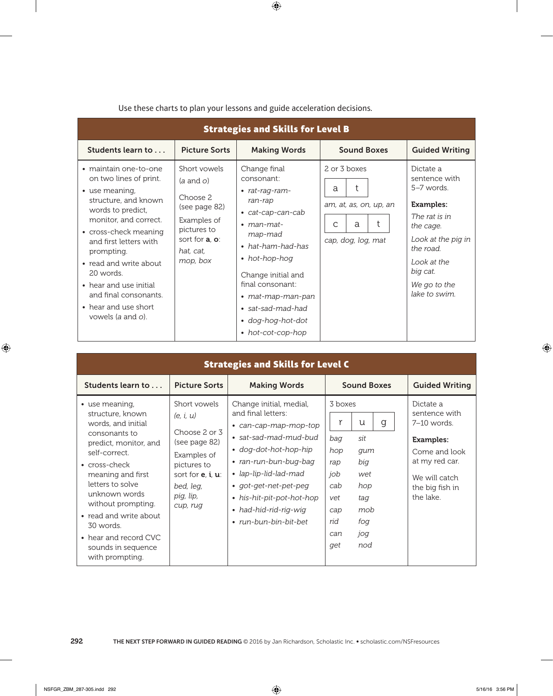| <b>Strategies and Skills for Level B</b>                                                                                                                                                                                                                                                                                                        |                                                                                                                                                            |                                                                                                                                                                                                                                                                                   |                                                                                       |                                                                                                                                                                                           |  |
|-------------------------------------------------------------------------------------------------------------------------------------------------------------------------------------------------------------------------------------------------------------------------------------------------------------------------------------------------|------------------------------------------------------------------------------------------------------------------------------------------------------------|-----------------------------------------------------------------------------------------------------------------------------------------------------------------------------------------------------------------------------------------------------------------------------------|---------------------------------------------------------------------------------------|-------------------------------------------------------------------------------------------------------------------------------------------------------------------------------------------|--|
| Students learn to                                                                                                                                                                                                                                                                                                                               | <b>Picture Sorts</b>                                                                                                                                       | <b>Making Words</b>                                                                                                                                                                                                                                                               | <b>Sound Boxes</b>                                                                    | <b>Guided Writing</b>                                                                                                                                                                     |  |
| • maintain one-to-one<br>on two lines of print.<br>• use meaning,<br>structure, and known<br>words to predict,<br>monitor, and correct.<br>• cross-check meaning<br>and first letters with<br>prompting.<br>• read and write about<br>20 words.<br>• hear and use initial<br>and final consonants.<br>• hear and use short<br>vowels (a and o). | Short vowels<br>$(a \text{ and } o)$<br>Choose 2<br>(see page 82)<br>Examples of<br>pictures to<br>sort for <b>a</b> , <b>o</b> :<br>hat, cat,<br>mop, box | Change final<br>consonant:<br>• rat-rag-ram-<br>ran-rap<br>• cat-cap-can-cab<br>$\bullet$ man-mat-<br>map-mad<br>• hat-ham-had-has<br>• hot-hop-hog<br>Change initial and<br>final consonant:<br>• mat-map-man-pan<br>• sat-sad-mad-had<br>• dog-hog-hot-dot<br>• hot-cot-cop-hop | 2 or 3 boxes<br>t<br>a<br>am, at, as, on, up, an<br>t<br>a<br>C<br>cap, dog, log, mat | Dictate a<br>sentence with<br>5-7 words.<br><b>Examples:</b><br>The rat is in<br>the cage.<br>Look at the pig in<br>the road.<br>Look at the<br>big cat.<br>We go to the<br>lake to swim. |  |

| <b>Strategies and Skills for Level C</b>                                                                                                                                                                                                                                                                                              |                                                                                                                                                            |                                                                                                                                                                                                                                                                                    |                                                                                    |                                                                              |                                                                                                                                                     |  |
|---------------------------------------------------------------------------------------------------------------------------------------------------------------------------------------------------------------------------------------------------------------------------------------------------------------------------------------|------------------------------------------------------------------------------------------------------------------------------------------------------------|------------------------------------------------------------------------------------------------------------------------------------------------------------------------------------------------------------------------------------------------------------------------------------|------------------------------------------------------------------------------------|------------------------------------------------------------------------------|-----------------------------------------------------------------------------------------------------------------------------------------------------|--|
| Students learn to                                                                                                                                                                                                                                                                                                                     | <b>Picture Sorts</b>                                                                                                                                       | <b>Making Words</b>                                                                                                                                                                                                                                                                |                                                                                    | <b>Sound Boxes</b>                                                           | <b>Guided Writing</b>                                                                                                                               |  |
| • use meaning,<br>structure, known<br>words, and initial<br>consonants to<br>predict, monitor, and<br>self-correct.<br>$\bullet$ cross-check<br>meaning and first<br>letters to solve<br>unknown words<br>without prompting.<br>• read and write about<br>30 words.<br>• hear and record CVC<br>sounds in sequence<br>with prompting. | Short vowels<br>(e, i, u)<br>Choose 2 or 3<br>(see page 82)<br>Examples of<br>pictures to<br>sort for $e$ , $i, u$ :<br>bed, leg,<br>pig, lip,<br>cup, rug | Change initial, medial,<br>and final letters:<br>• can-cap-map-mop-top<br>• sat-sad-mad-mud-bud<br>• dog-dot-hot-hop-hip<br>• ran-run-bun-bug-bag<br>• lap-lip-lid-lad-mad<br>• got-get-net-pet-peg<br>• his-hit-pit-pot-hot-hop<br>• had-hid-rid-rig-wig<br>• run-bun-bin-bit-bet | 3 boxes<br>r<br>bag<br>hop<br>rap<br>job<br>cab<br>vet<br>cap<br>rid<br>can<br>get | g<br>U<br>sit<br>gum<br>big<br>wet<br>hop<br>taq<br>mob<br>fog<br>jog<br>nod | Dictate a<br>sentence with<br>$7-10$ words.<br><b>Examples:</b><br>Come and look<br>at my red car.<br>We will catch<br>the big fish in<br>the lake. |  |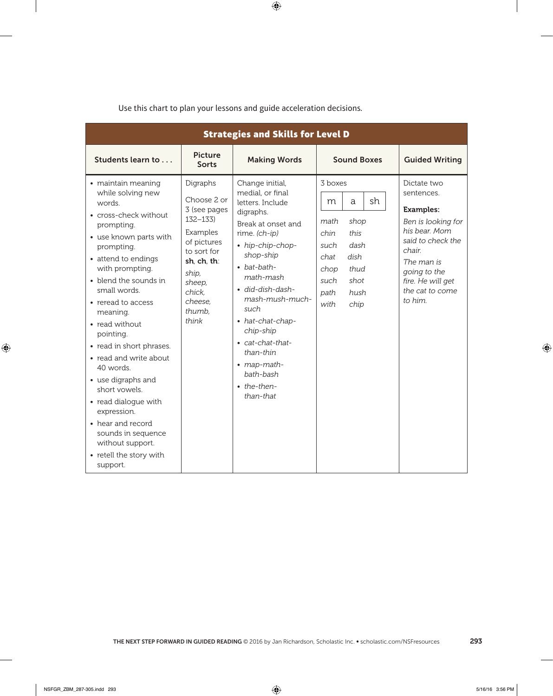| <b>Strategies and Skills for Level D</b>                                                                                                                                                                                                                                                                                                                                                                                                                                                                                                    |                                                                                                                                                                            |                                                                                                                                                                                                                                                                                                                                                                     |                                                                                                                                                         |                                                                                                                                                                                                      |  |
|---------------------------------------------------------------------------------------------------------------------------------------------------------------------------------------------------------------------------------------------------------------------------------------------------------------------------------------------------------------------------------------------------------------------------------------------------------------------------------------------------------------------------------------------|----------------------------------------------------------------------------------------------------------------------------------------------------------------------------|---------------------------------------------------------------------------------------------------------------------------------------------------------------------------------------------------------------------------------------------------------------------------------------------------------------------------------------------------------------------|---------------------------------------------------------------------------------------------------------------------------------------------------------|------------------------------------------------------------------------------------------------------------------------------------------------------------------------------------------------------|--|
| Students learn to                                                                                                                                                                                                                                                                                                                                                                                                                                                                                                                           | <b>Picture</b><br><b>Sorts</b>                                                                                                                                             | <b>Making Words</b>                                                                                                                                                                                                                                                                                                                                                 | <b>Sound Boxes</b>                                                                                                                                      | <b>Guided Writing</b>                                                                                                                                                                                |  |
| • maintain meaning<br>while solving new<br>words.<br>• cross-check without<br>prompting.<br>• use known parts with<br>prompting.<br>• attend to endings<br>with prompting.<br>• blend the sounds in<br>small words.<br>• reread to access<br>meaning.<br>• read without<br>pointing.<br>• read in short phrases.<br>• read and write about<br>40 words.<br>• use digraphs and<br>short vowels.<br>• read dialogue with<br>expression.<br>• hear and record<br>sounds in sequence<br>without support.<br>• retell the story with<br>support. | Digraphs<br>Choose 2 or<br>3 (see pages<br>$132 - 133$<br>Examples<br>of pictures<br>to sort for<br>sh, ch, th:<br>ship,<br>sheep,<br>chick,<br>cheese.<br>thumb,<br>think | Change initial,<br>medial, or final<br>letters. Include<br>digraphs.<br>Break at onset and<br>rime. $(ch-ip)$<br>• hip-chip-chop-<br>shop-ship<br>$\bullet$ bat-bath-<br>math-mash<br>· did-dish-dash-<br>mash-mush-much-<br>such<br>• hat-chat-chap-<br>chip-ship<br>• cat-chat-that-<br>than-thin<br>• map-math-<br>bath-bash<br>$\bullet$ the-then-<br>than-that | 3 boxes<br>sh<br>a<br>m<br>math<br>shop<br>this<br>chin<br>dash<br>such<br>dish<br>chat<br>chop<br>thud<br>shot<br>such<br>hush<br>path<br>with<br>chip | Dictate two<br>sentences.<br><b>Examples:</b><br>Ben is looking for<br>his bear. Mom<br>said to check the<br>chair.<br>The man is<br>going to the<br>fire. He will get<br>the cat to come<br>to him. |  |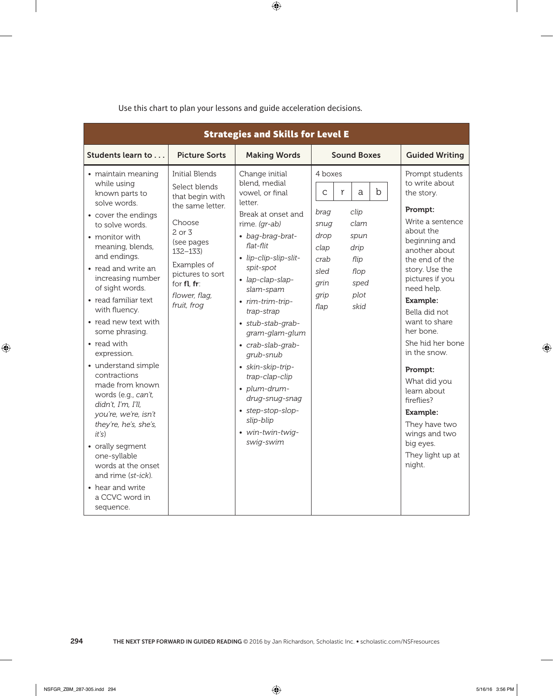| <b>Strategies and Skills for Level E</b>                                                                                                                                                                                                                                                                                                                                                                                                                                                                                                                                                                                                                |                                                                                                                                                                                                               |                                                                                                                                                                                                                                                                                                                                                                                                                                                                    |                                                                                                                                                                                                 |                                                                                                                                                                                                                                                                                                                                                                                                                                                    |  |
|---------------------------------------------------------------------------------------------------------------------------------------------------------------------------------------------------------------------------------------------------------------------------------------------------------------------------------------------------------------------------------------------------------------------------------------------------------------------------------------------------------------------------------------------------------------------------------------------------------------------------------------------------------|---------------------------------------------------------------------------------------------------------------------------------------------------------------------------------------------------------------|--------------------------------------------------------------------------------------------------------------------------------------------------------------------------------------------------------------------------------------------------------------------------------------------------------------------------------------------------------------------------------------------------------------------------------------------------------------------|-------------------------------------------------------------------------------------------------------------------------------------------------------------------------------------------------|----------------------------------------------------------------------------------------------------------------------------------------------------------------------------------------------------------------------------------------------------------------------------------------------------------------------------------------------------------------------------------------------------------------------------------------------------|--|
| Students learn to                                                                                                                                                                                                                                                                                                                                                                                                                                                                                                                                                                                                                                       | <b>Picture Sorts</b>                                                                                                                                                                                          | <b>Making Words</b>                                                                                                                                                                                                                                                                                                                                                                                                                                                | <b>Sound Boxes</b>                                                                                                                                                                              | <b>Guided Writing</b>                                                                                                                                                                                                                                                                                                                                                                                                                              |  |
| · maintain meaning<br>while using<br>known parts to<br>solve words.<br>• cover the endings<br>to solve words.<br>• monitor with<br>meaning, blends,<br>and endings.<br>• read and write an<br>increasing number<br>of sight words.<br>• read familiar text<br>with fluency.<br>• read new text with<br>some phrasing.<br>• read with<br>expression.<br>• understand simple<br>contractions<br>made from known<br>words (e.g., can't,<br>didn't, I'm, I'll,<br>you're, we're, isn't<br>they're, he's, she's,<br>it's)<br>• orally segment<br>one-syllable<br>words at the onset<br>and rime (st-ick).<br>• hear and write<br>a CCVC word in<br>sequence. | Initial Blends<br>Select blends<br>that begin with<br>the same letter.<br>Choose<br>$2$ or $3$<br>(see pages<br>$132 - 133$<br>Examples of<br>pictures to sort<br>for fl. fr:<br>flower, flag,<br>fruit, frog | Change initial<br>blend, medial<br>vowel, or final<br>letter<br>Break at onset and<br>rime. (gr-ab)<br>• bag-brag-brat-<br>flat-flit<br>- lip-clip-slip-slit-<br>spit-spot<br>· lap-clap-slap-<br>slam-spam<br>• rim-trim-trip-<br>trap-strap<br>· stub-stab-grab-<br>gram-glam-glum<br>· crab-slab-grab-<br>grub-snub<br>· skin-skip-trip-<br>trap-clap-clip<br>· plum-drum-<br>drug-snug-snag<br>• step-stop-slop-<br>slip-blip<br>· win-twin-twig-<br>swig-swim | 4 boxes<br>$\mathbf b$<br>$\mathsf C$<br>r<br>a<br>clip<br>brag<br>clam<br>snug<br>drop<br>spun<br>clap<br>drip<br>flip<br>crab<br>flop<br>sled<br>grin<br>sped<br>plot<br>grip<br>flap<br>skid | Prompt students<br>to write about<br>the story.<br>Prompt:<br>Write a sentence<br>about the<br>beginning and<br>another about<br>the end of the<br>story. Use the<br>pictures if you<br>need help.<br>Example:<br>Bella did not<br>want to share<br>her bone.<br>She hid her bone<br>in the snow.<br>Prompt:<br>What did you<br>learn about<br>fireflies?<br>Example:<br>They have two<br>wings and two<br>big eyes.<br>They light up at<br>night. |  |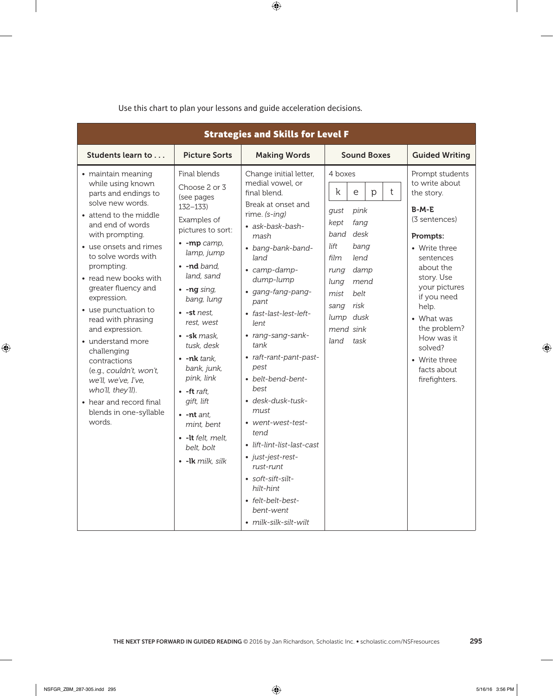| <b>Strategies and Skills for Level F</b>                                                                                                                                                                                                                                                                                                                                                                                                                                                                                                      |                                                                                                                                                                                                                                                                                                                                                                                                                                                                     |                                                                                                                                                                                                                                                                                                                                                                                                                                                                                                                                                                                    |                                                                                                                                                                                                                       |                                                                                                                                                                                                                                                                                                   |  |
|-----------------------------------------------------------------------------------------------------------------------------------------------------------------------------------------------------------------------------------------------------------------------------------------------------------------------------------------------------------------------------------------------------------------------------------------------------------------------------------------------------------------------------------------------|---------------------------------------------------------------------------------------------------------------------------------------------------------------------------------------------------------------------------------------------------------------------------------------------------------------------------------------------------------------------------------------------------------------------------------------------------------------------|------------------------------------------------------------------------------------------------------------------------------------------------------------------------------------------------------------------------------------------------------------------------------------------------------------------------------------------------------------------------------------------------------------------------------------------------------------------------------------------------------------------------------------------------------------------------------------|-----------------------------------------------------------------------------------------------------------------------------------------------------------------------------------------------------------------------|---------------------------------------------------------------------------------------------------------------------------------------------------------------------------------------------------------------------------------------------------------------------------------------------------|--|
| Students learn to                                                                                                                                                                                                                                                                                                                                                                                                                                                                                                                             | <b>Picture Sorts</b>                                                                                                                                                                                                                                                                                                                                                                                                                                                | <b>Making Words</b>                                                                                                                                                                                                                                                                                                                                                                                                                                                                                                                                                                | <b>Sound Boxes</b>                                                                                                                                                                                                    | <b>Guided Writing</b>                                                                                                                                                                                                                                                                             |  |
| • maintain meaning<br>while using known<br>parts and endings to<br>solve new words.<br>• attend to the middle<br>and end of words<br>with prompting.<br>• use onsets and rimes<br>to solve words with<br>prompting.<br>• read new books with<br>greater fluency and<br>expression.<br>• use punctuation to<br>read with phrasing<br>and expression.<br>• understand more<br>challenging<br>contractions<br>(e.g., couldn't, won't,<br>we'll, we've, I've,<br>who'll, they'll).<br>• hear and record final<br>blends in one-syllable<br>words. | Final blends<br>Choose 2 or 3<br>(see pages<br>$132 - 133$<br>Examples of<br>pictures to sort:<br>$\cdot$ -mp camp,<br>lamp, jump<br>$\cdot$ -nd band.<br>land, sand<br>$\cdot$ -ng sing,<br>bang, lung<br>$\bullet$ -st nest.<br>rest. west<br>• -sk mask,<br>tusk, desk<br>• -nk tank,<br>bank, junk,<br>pink, link<br>$\bullet$ -ft raft.<br>gift, lift<br>$\cdot$ -nt ant.<br>mint, bent<br>$\bullet$ -lt felt, melt,<br>belt, bolt<br>$\bullet$ -lk milk, silk | Change initial letter,<br>medial vowel, or<br>final blend.<br>Break at onset and<br>rime. $(s\text{-}ing)$<br>• ask-bask-bash-<br>mash<br>• bang-bank-band-<br>land<br>• camp-damp-<br>dump-lump<br>• gang-fang-pang-<br>pant<br>• fast-last-lest-left-<br>lent<br>• rang-sang-sank-<br>tank<br>• raft-rant-pant-past-<br>pest<br>• belt-bend-bent-<br>best<br>• desk-dusk-tusk-<br>must<br>• went-west-test-<br>tend<br>• lift-lint-list-last-cast<br>• just-jest-rest-<br>rust-runt<br>• soft-sift-silt-<br>hilt-hint<br>• felt-belt-best-<br>bent-went<br>• milk-silk-silt-wilt | 4 boxes<br>k<br>t<br>e<br>p<br>pink<br>gust<br>kept<br>fang<br>band<br>desk<br>lift<br>bang<br>film<br>lend<br>damp<br>rung<br>lung<br>mend<br>mist<br>belt<br>risk<br>sang<br>lump dusk<br>mend sink<br>land<br>task | Prompt students<br>to write about<br>the story.<br>$B-M-E$<br>(3 sentences)<br>Prompts:<br>• Write three<br>sentences<br>about the<br>story. Use<br>your pictures<br>if you need<br>help.<br>• What was<br>the problem?<br>How was it<br>solved?<br>• Write three<br>facts about<br>firefighters. |  |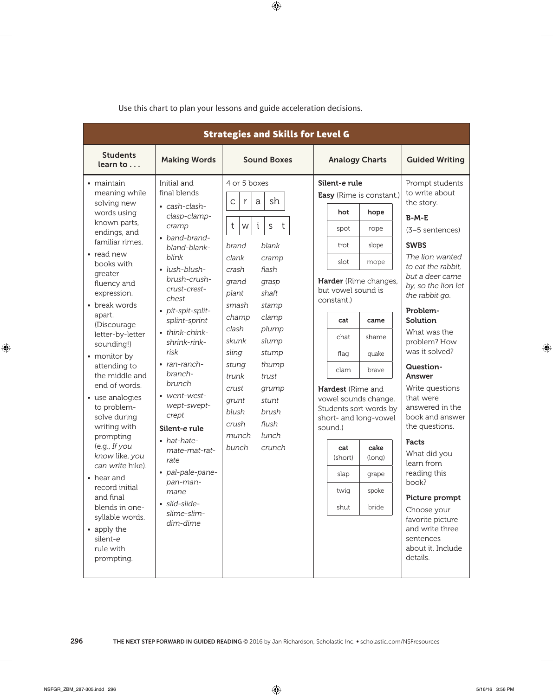|                                                                                                                                                                                                                                                                                                                                                                                                                                                                                                                                                                                                                |                                                                                                                                                                                                                                                                                                                                                                                                                                                                                           | <b>Strategies and Skills for Level G</b>                                                                                                                                                                                                                                                                                                                                                                   |                                                                                                                                                                                                                                                                                                                                                                                                                                                   |                                                                                                                                                                                                                                                                                                                                                                                                                                                                                                                                                                                         |
|----------------------------------------------------------------------------------------------------------------------------------------------------------------------------------------------------------------------------------------------------------------------------------------------------------------------------------------------------------------------------------------------------------------------------------------------------------------------------------------------------------------------------------------------------------------------------------------------------------------|-------------------------------------------------------------------------------------------------------------------------------------------------------------------------------------------------------------------------------------------------------------------------------------------------------------------------------------------------------------------------------------------------------------------------------------------------------------------------------------------|------------------------------------------------------------------------------------------------------------------------------------------------------------------------------------------------------------------------------------------------------------------------------------------------------------------------------------------------------------------------------------------------------------|---------------------------------------------------------------------------------------------------------------------------------------------------------------------------------------------------------------------------------------------------------------------------------------------------------------------------------------------------------------------------------------------------------------------------------------------------|-----------------------------------------------------------------------------------------------------------------------------------------------------------------------------------------------------------------------------------------------------------------------------------------------------------------------------------------------------------------------------------------------------------------------------------------------------------------------------------------------------------------------------------------------------------------------------------------|
| <b>Students</b><br>learn to $\ldots$                                                                                                                                                                                                                                                                                                                                                                                                                                                                                                                                                                           | <b>Making Words</b>                                                                                                                                                                                                                                                                                                                                                                                                                                                                       | <b>Sound Boxes</b>                                                                                                                                                                                                                                                                                                                                                                                         | <b>Analogy Charts</b>                                                                                                                                                                                                                                                                                                                                                                                                                             | <b>Guided Writing</b>                                                                                                                                                                                                                                                                                                                                                                                                                                                                                                                                                                   |
| • maintain<br>meaning while<br>solving new<br>words using<br>known parts,<br>endings, and<br>familiar rimes.<br>• read new<br>books with<br>greater<br>fluency and<br>expression.<br>• break words<br>apart.<br>(Discourage<br>letter-by-letter<br>sounding!)<br>• monitor by<br>attending to<br>the middle and<br>end of words.<br>• use analogies<br>to problem-<br>solve during<br>writing with<br>prompting<br>(e.g., If you<br>know like, you<br>can write hike).<br>• hear and<br>record initial<br>and final<br>blends in one-<br>syllable words.<br>• apply the<br>silent-e<br>rule with<br>prompting. | Initial and<br>final blends<br>• cash-clash-<br>clasp-clamp-<br>cramp<br>• band-brand-<br>bland-blank-<br>blink<br>• lush-blush-<br>brush-crush-<br>crust-crest-<br>chest<br>• pit-spit-split-<br>splint-sprint<br>• think-chink-<br>shrink-rink-<br>risk<br>$\cdot$ ran-ranch-<br>branch-<br>brunch<br>• went-west-<br>wept-swept-<br>crept<br>Silent-e rule<br>• hat-hate-<br>mate-mat-rat-<br>rate<br>• pal-pale-pane-<br>pan-man-<br>mane<br>· slid-slide-<br>slime-slim-<br>dim-dime | 4 or 5 boxes<br>sh<br>$\mathsf{C}$<br>r<br>a<br>t<br>i<br>S<br>t<br>W<br>blank<br>brand<br>clank<br>cramp<br>flash<br>crash<br>grand<br>grasp<br>plant<br>shaft<br>smash<br>stamp<br>champ<br>clamp<br>clash<br>plump<br>skunk<br>slump<br>sling<br>stump<br>thump<br>stung<br>trust<br>trunk<br>crust<br>grump<br>stunt<br>grunt<br>blush<br>brush<br>flush<br>crush<br>lunch<br>munch<br>bunch<br>crunch | Silent-e rule<br>Easy (Rime is constant.)<br>hot<br>hope<br>rope<br>spot<br>slope<br>trot<br>slot<br>mope<br>Harder (Rime changes,<br>but vowel sound is<br>constant.)<br>cat<br>came<br>chat<br>shame<br>quake<br>flag<br>clam<br>brave<br><b>Hardest</b> (Rime and<br>vowel sounds change.<br>Students sort words by<br>short- and long-vowel<br>sound.)<br>cake<br>cat<br>(short)<br>(long)<br>slap<br>grape<br>twig<br>spoke<br>bride<br>shut | Prompt students<br>to write about<br>the story.<br>$B-M-E$<br>(3-5 sentences)<br><b>SWBS</b><br>The lion wanted<br>to eat the rabbit,<br>but a deer came<br>by, so the lion let<br>the rabbit go.<br>Problem-<br>Solution<br>What was the<br>problem? How<br>was it solved?<br>Question-<br>Answer<br>Write questions<br>that were<br>answered in the<br>book and answer<br>the questions.<br><b>Facts</b><br>What did you<br>learn from<br>reading this<br>book?<br>Picture prompt<br>Choose your<br>favorite picture<br>and write three<br>sentences<br>about it. Include<br>details. |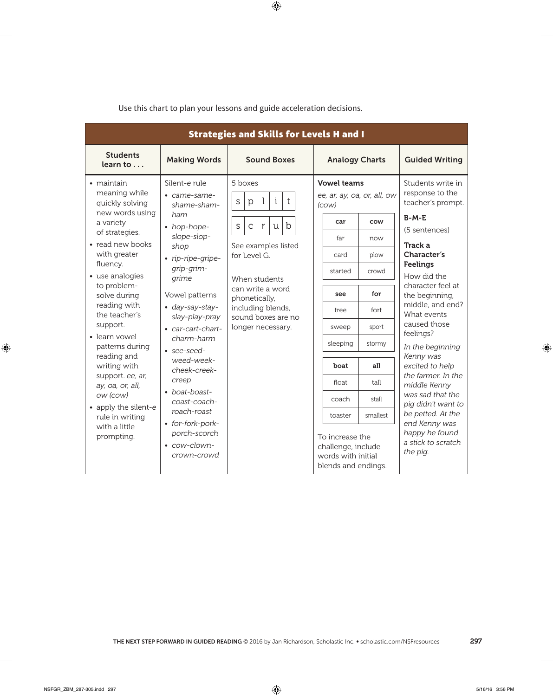| <b>Strategies and Skills for Levels H and I</b>                                                                                                                                                                                                                                                                                                                                                                                                  |                                                                                                                                                                                                                                                                                                                                                                                                          |                                                                                                                                                                                                                                                                            |                                                                                                                                                                                                                                                                                                                                                                 |                                                                                                                                                                                                                                                                                                                                                                                                                                                                                        |  |  |
|--------------------------------------------------------------------------------------------------------------------------------------------------------------------------------------------------------------------------------------------------------------------------------------------------------------------------------------------------------------------------------------------------------------------------------------------------|----------------------------------------------------------------------------------------------------------------------------------------------------------------------------------------------------------------------------------------------------------------------------------------------------------------------------------------------------------------------------------------------------------|----------------------------------------------------------------------------------------------------------------------------------------------------------------------------------------------------------------------------------------------------------------------------|-----------------------------------------------------------------------------------------------------------------------------------------------------------------------------------------------------------------------------------------------------------------------------------------------------------------------------------------------------------------|----------------------------------------------------------------------------------------------------------------------------------------------------------------------------------------------------------------------------------------------------------------------------------------------------------------------------------------------------------------------------------------------------------------------------------------------------------------------------------------|--|--|
| <b>Students</b><br>learn to                                                                                                                                                                                                                                                                                                                                                                                                                      | <b>Making Words</b>                                                                                                                                                                                                                                                                                                                                                                                      | <b>Sound Boxes</b>                                                                                                                                                                                                                                                         | <b>Analogy Charts</b>                                                                                                                                                                                                                                                                                                                                           | <b>Guided Writing</b>                                                                                                                                                                                                                                                                                                                                                                                                                                                                  |  |  |
| • maintain<br>meaning while<br>quickly solving<br>new words using<br>a variety<br>of strategies.<br>• read new books<br>with greater<br>fluency.<br>• use analogies<br>to problem-<br>solve during<br>reading with<br>the teacher's<br>support.<br>· learn vowel<br>patterns during<br>reading and<br>writing with<br>support. ee, ar,<br>ay, oa, or, all,<br>ow (cow)<br>• apply the silent-e<br>rule in writing<br>with a little<br>prompting. | Silent-e rule<br>• came-same-<br>shame-sham-<br>ham<br>• hop-hope-<br>slope-slop-<br>shop<br>• rip-ripe-gripe-<br>qrip-grim-<br>grime<br>Vowel patterns<br>• day-say-stay-<br>slay-play-pray<br>• car-cart-chart-<br>charm-harm<br>• see-seed-<br>weed-week-<br>cheek-creek-<br>creep<br>• boat-boast-<br>coast-coach-<br>roach-roast<br>• for-fork-pork-<br>porch-scorch<br>• cow-clown-<br>crown-crowd | 5 hoxes<br>i<br>t<br>$\mathbf{I}$<br>$\mathsf S$<br>p<br>$\mathbf b$<br>$\mathsf S$<br>$\mathsf{C}$<br>r<br>u<br>See examples listed<br>for Level G.<br>When students<br>can write a word<br>phonetically,<br>including blends,<br>sound boxes are no<br>longer necessary. | <b>Vowel teams</b><br>ee, ar, ay, oa, or, all, ow<br>(cow)<br>car<br>cow<br>far<br>now<br>plow<br>card<br>started<br>crowd<br>for<br>see<br>fort<br>tree<br>sport<br>sweep<br>sleeping<br>stormy<br>all<br>boat<br>float<br>tall<br>coach<br>stall<br>smallest<br>toaster<br>To increase the<br>challenge, include<br>words with initial<br>blends and endings. | Students write in<br>response to the<br>teacher's prompt.<br>$B-M-E$<br>(5 sentences)<br>Track a<br>Character's<br><b>Feelings</b><br>How did the<br>character feel at<br>the beginning,<br>middle, and end?<br>What events<br>caused those<br>feelings?<br>In the beginning<br>Kenny was<br>excited to help<br>the farmer. In the<br>middle Kenny<br>was sad that the<br>pig didn't want to<br>be petted. At the<br>end Kenny was<br>happy he found<br>a stick to scratch<br>the pig. |  |  |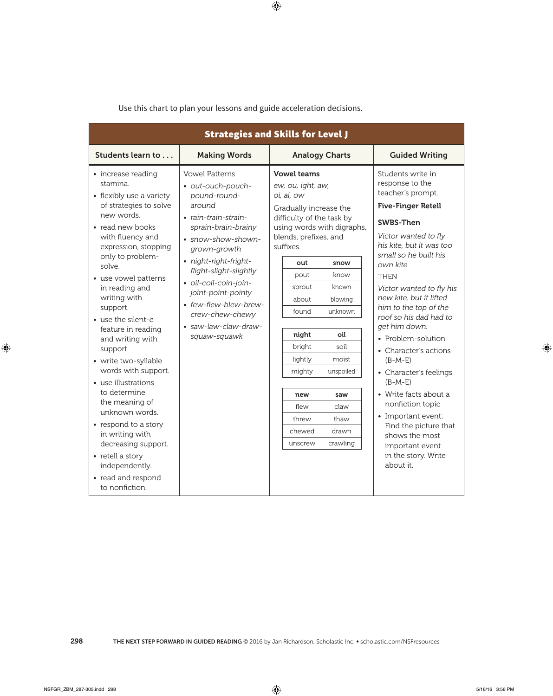| <b>Strategies and Skills for Level J</b>                                                                                                                           |                                                                                                                                                           |                                                                                                                                                    |                            |                                                                                                                                                         |  |  |
|--------------------------------------------------------------------------------------------------------------------------------------------------------------------|-----------------------------------------------------------------------------------------------------------------------------------------------------------|----------------------------------------------------------------------------------------------------------------------------------------------------|----------------------------|---------------------------------------------------------------------------------------------------------------------------------------------------------|--|--|
| Students learn to                                                                                                                                                  | <b>Making Words</b>                                                                                                                                       | <b>Analogy Charts</b>                                                                                                                              |                            | <b>Guided Writing</b>                                                                                                                                   |  |  |
| • increase reading<br>stamina.<br>• flexibly use a variety<br>of strategies to solve<br>new words.<br>• read new books<br>with fluency and<br>expression, stopping | <b>Vowel Patterns</b><br>· out-ouch-pouch-<br>pound-round-<br>around<br>• rain-train-strain-<br>sprain-brain-brainy<br>· snow-show-shown-<br>grown-growth | <b>Vowel teams</b><br>ew, ou, ight, aw,<br>oi, ai, ow<br>Gradually increase the<br>difficulty of the task by<br>blends, prefixes, and<br>suffixes. | using words with digraphs, | Students write in<br>response to the<br>teacher's prompt.<br><b>Five-Finger Retell</b><br>SWBS-Then<br>Victor wanted to fly<br>his kite, but it was too |  |  |
| only to problem-<br>solve.                                                                                                                                         | · night-right-fright-                                                                                                                                     | out                                                                                                                                                | snow                       | small so he built his<br>own kite.                                                                                                                      |  |  |
| • use vowel patterns                                                                                                                                               | flight-slight-slightly                                                                                                                                    | pout                                                                                                                                               | know                       | <b>THEN</b>                                                                                                                                             |  |  |
| in reading and                                                                                                                                                     | · oil-coil-coin-join-<br>joint-point-pointy<br>• few-flew-blew-brew-<br>crew-chew-chewy<br>· saw-law-claw-draw-                                           | sprout                                                                                                                                             | known                      | Victor wanted to fly his                                                                                                                                |  |  |
| writing with                                                                                                                                                       |                                                                                                                                                           | about                                                                                                                                              | blowing                    | new kite, but it lifted                                                                                                                                 |  |  |
| support.                                                                                                                                                           |                                                                                                                                                           | found                                                                                                                                              | unknown                    | him to the top of the<br>roof so his dad had to                                                                                                         |  |  |
| • use the silent-e<br>feature in reading                                                                                                                           |                                                                                                                                                           |                                                                                                                                                    |                            | get him down.                                                                                                                                           |  |  |
| and writing with                                                                                                                                                   | squaw-squawk                                                                                                                                              | night                                                                                                                                              | oil                        | • Problem-solution                                                                                                                                      |  |  |
| support.                                                                                                                                                           |                                                                                                                                                           | bright                                                                                                                                             | soil                       | • Character's actions                                                                                                                                   |  |  |
| · write two-syllable                                                                                                                                               |                                                                                                                                                           | lightly                                                                                                                                            | moist                      | $(B-M-E)$                                                                                                                                               |  |  |
| words with support.                                                                                                                                                |                                                                                                                                                           | mighty                                                                                                                                             | unspoiled                  | • Character's feelings                                                                                                                                  |  |  |
| • use illustrations<br>to determine                                                                                                                                |                                                                                                                                                           | new                                                                                                                                                | saw                        | $(B-M-E)$<br>• Write facts about a                                                                                                                      |  |  |
| the meaning of                                                                                                                                                     |                                                                                                                                                           | flew                                                                                                                                               | claw                       | nonfiction topic                                                                                                                                        |  |  |
| unknown words.                                                                                                                                                     |                                                                                                                                                           | threw                                                                                                                                              | thaw                       | • Important event:                                                                                                                                      |  |  |
| • respond to a story                                                                                                                                               |                                                                                                                                                           | chewed                                                                                                                                             | drawn                      | Find the picture that                                                                                                                                   |  |  |
| in writing with<br>decreasing support.                                                                                                                             |                                                                                                                                                           | unscrew                                                                                                                                            | crawling                   | shows the most                                                                                                                                          |  |  |
| • retell a story<br>independently.                                                                                                                                 |                                                                                                                                                           |                                                                                                                                                    |                            | important event<br>in the story. Write<br>about it.                                                                                                     |  |  |
| • read and respond<br>to nonfiction.                                                                                                                               |                                                                                                                                                           |                                                                                                                                                    |                            |                                                                                                                                                         |  |  |